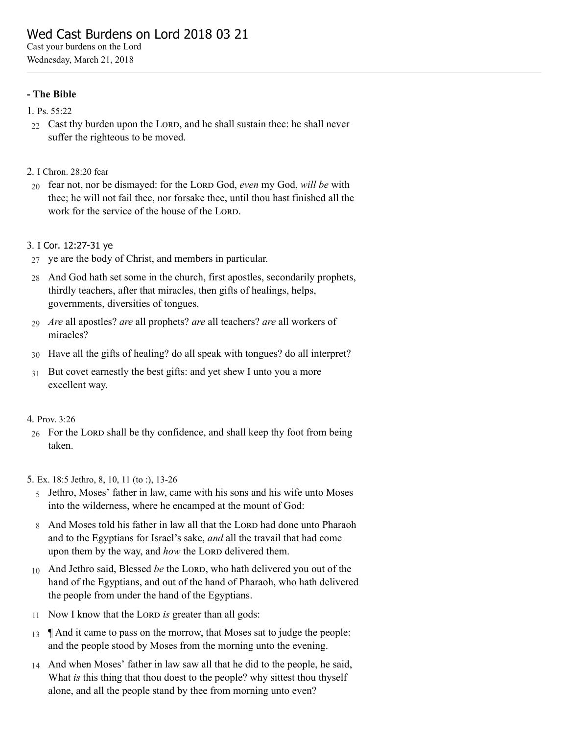# Wed Cast Burdens on Lord 2018 03 21

Cast your burdens on the Lord Wednesday, March 21, 2018

# - The Bible

- 1. Ps. [55:22](http://www.concordworks.com/citation/Ps.%2055:22)
- $22$  Cast thy burden upon the LORD, and he shall sustain thee: he shall never suffer the righteous to be moved.
- 2. I [Chron.](http://www.concordworks.com/citation/I%20Chron.%2028:20%20fear) 28:20 fear
- 20 fear not, nor be dismayed: for the LORD God, *even* my God, *will be* with thee; he will not fail thee, nor forsake thee, until thou hast finished all the work for the service of the house of the LORD.

# 3. I Cor. [12:27-31](http://www.concordworks.com/citation/I%20Cor.%2012:27-31%20ye) ye

- 27 ye are the body of Christ, and members in particular.
- 28 And God hath set some in the church, first apostles, secondarily prophets, thirdly teachers, after that miracles, then gifts of healings, helps, governments, diversities of tongues.
- 29 *Are* all apostles? *are* all prophets? *are* all teachers? *are* all workers of miracles?
- 30 Have all the gifts of healing? do all speak with tongues? do all interpret?
- 31 But covet earnestly the best gifts: and yet shew I unto you a more excellent way.

# 4. [Prov.](http://www.concordworks.com/citation/Prov.%203:26) 3:26

 $26$  For the LORD shall be thy confidence, and shall keep thy foot from being taken.

5. Ex. 18:5 [Jethro,](http://www.concordworks.com/citation/Ex.%2018:5%20Jethro,%208,%2010,%2011%20(to%20:),%2013-26) 8, 10, 11 (to :), 13-26

- 5 Jethro, Moses' father in law, came with his sons and his wife unto Moses into the wilderness, where he encamped at the mount of God:
- 8 And Moses told his father in law all that the LORD had done unto Pharaoh and to the Egyptians for Israel's sake, *and* all the travail that had come upon them by the way, and *how* the LORD delivered them.
- 10 And Jethro said, Blessed *be* the LORD, who hath delivered you out of the hand of the Egyptians, and out of the hand of Pharaoh, who hath delivered the people from under the hand of the Egyptians.
- 11 Now I know that the LORD is greater than all gods:
- 13 ¶ And it came to pass on the morrow, that Moses sat to judge the people: and the people stood by Moses from the morning unto the evening.
- 14 And when Moses' father in law saw all that he did to the people, he said, What *is* this thing that thou doest to the people? why sittest thou thyself alone, and all the people stand by thee from morning unto even?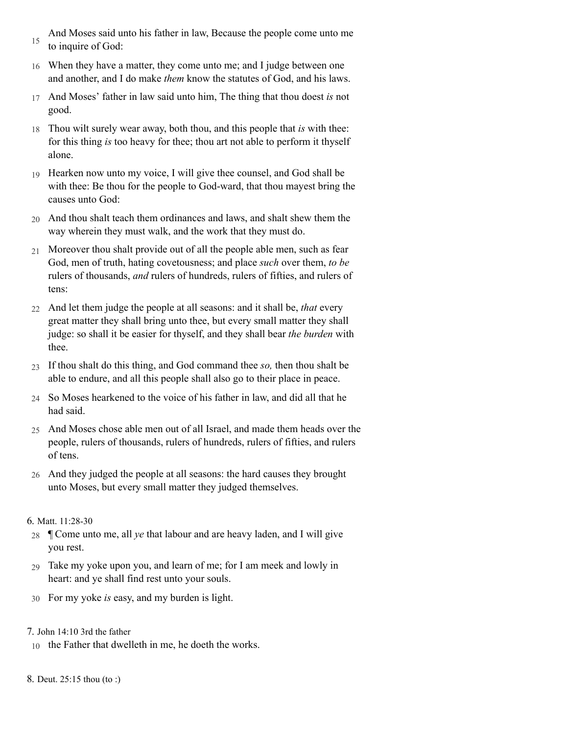- 15 And Moses said unto his father in law, Because the people come unto me to inquire of God:
- 16 When they have a matter, they come unto me; and I judge between one and another, and I do make *them* know the statutes of God, and his laws.
- 17 And Moses' father in law said unto him, The thing that thou doest *is* not good.
- 18 Thou wilt surely wear away, both thou, and this people that *is* with thee: for this thing *is* too heavy for thee; thou art not able to perform it thyself alone.
- 19 Hearken now unto my voice, I will give thee counsel, and God shall be with thee: Be thou for the people to God-ward, that thou mayest bring the causes unto God:
- 20 And thou shalt teach them ordinances and laws, and shalt shew them the way wherein they must walk, and the work that they must do.
- 21 Moreover thou shalt provide out of all the people able men, such as fear God, men of truth, hating covetousness; and place *such* over them, *to be* rulers of thousands, *and* rulers of hundreds, rulers of fifties, and rulers of tens:
- 22 And let them judge the people at all seasons: and it shall be, *that* every great matter they shall bring unto thee, but every small matter they shall judge: so shall it be easier for thyself, and they shall bear *the burden* with thee.
- 23 If thou shalt do this thing, and God command thee *so,* then thou shalt be able to endure, and all this people shall also go to their place in peace.
- 24 So Moses hearkened to the voice of his father in law, and did all that he had said.
- 25 And Moses chose able men out of all Israel, and made them heads over the people, rulers of thousands, rulers of hundreds, rulers of fifties, and rulers of tens.
- 26 And they judged the people at all seasons: the hard causes they brought unto Moses, but every small matter they judged themselves.

# 6. Matt. [11:28-30](http://www.concordworks.com/citation/Matt.%2011:28-30)

- 28 ¶ Come unto me, all *ye* that labour and are heavy laden, and I will give you rest.
- 29 Take my yoke upon you, and learn of me; for I am meek and lowly in heart: and ye shall find rest unto your souls.
- 30 For my yoke *is* easy, and my burden is light.

# 7. John 14:10 3rd the [father](http://www.concordworks.com/citation/John%2014:10%203rd%20the%20father)

- 10 the Father that dwelleth in me, he doeth the works.
- 8. Deut. [25:15](http://www.concordworks.com/citation/Deut.%2025:15%20thou%20(to%20:)) thou (to :)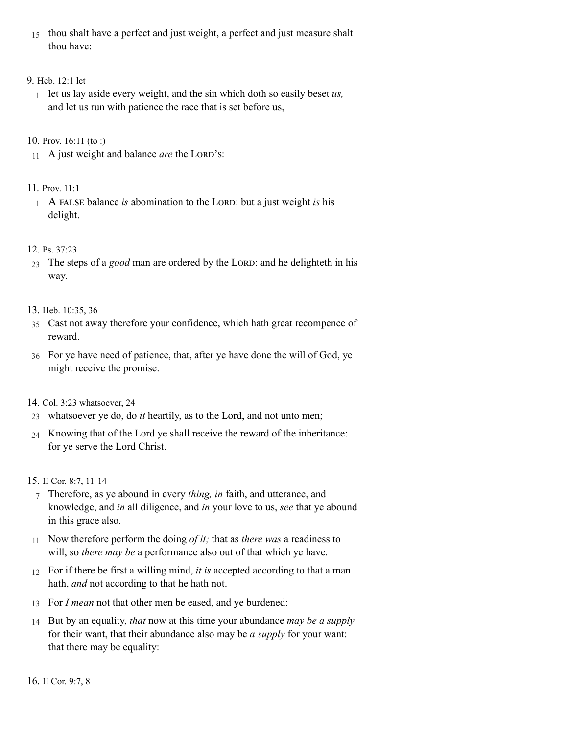15 thou shalt have a perfect and just weight, a perfect and just measure shalt thou have:

# 9. [Heb.](http://www.concordworks.com/citation/Heb.%2012:1%20let) 12:1 let

1 let us lay aside every weight, and the sin which doth so easily beset *us,* and let us run with patience the race that is set before us,

# 10. Prov. [16:11](http://www.concordworks.com/citation/Prov.%2016:11%20(to%20:)) (to :)

11 A just weight and balance *are* the LORD's:

# 11. [Prov.](http://www.concordworks.com/citation/Prov.%2011:1) 11:1

1 A FALSE balance *is* abomination to the LORD: but a just weight *is* his delight.

# 12. Ps. [37:23](http://www.concordworks.com/citation/Ps.%2037:23)

23 The steps of a *good* man are ordered by the LORD: and he delighteth in his way.

# 13. Heb. [10:35,](http://www.concordworks.com/citation/Heb.%2010:35,%2036) 36

- 35 Cast not away therefore your confidence, which hath great recompence of reward.
- 36 For ye have need of patience, that, after ye have done the will of God, ye might receive the promise.

# 14. Col. 3:23 [whatsoever,](http://www.concordworks.com/citation/Col.%203:23%20whatsoever,%2024) 24

- 23 whatsoever ye do, do *it* heartily, as to the Lord, and not unto men;
- 24 Knowing that of the Lord ye shall receive the reward of the inheritance: for ye serve the Lord Christ.

# 15. II Cor. 8:7, [11-14](http://www.concordworks.com/citation/II%20Cor.%208:7,%2011-14)

- 7 Therefore, as ye abound in every *thing, in* faith, and utterance, and knowledge, and *in* all diligence, and *in* your love to us, *see* that ye abound in this grace also.
- 11 Now therefore perform the doing *of it;* that as *there was* a readiness to will, so *there may be* a performance also out of that which ye have.
- 12 For if there be first a willing mind, *it is* accepted according to that a man hath, *and* not according to that he hath not.
- 13 For *I mean* not that other men be eased, and ye burdened:
- 14 But by an equality, *that* now at this time your abundance *may be a supply* for their want, that their abundance also may be *a supply* for your want: that there may be equality: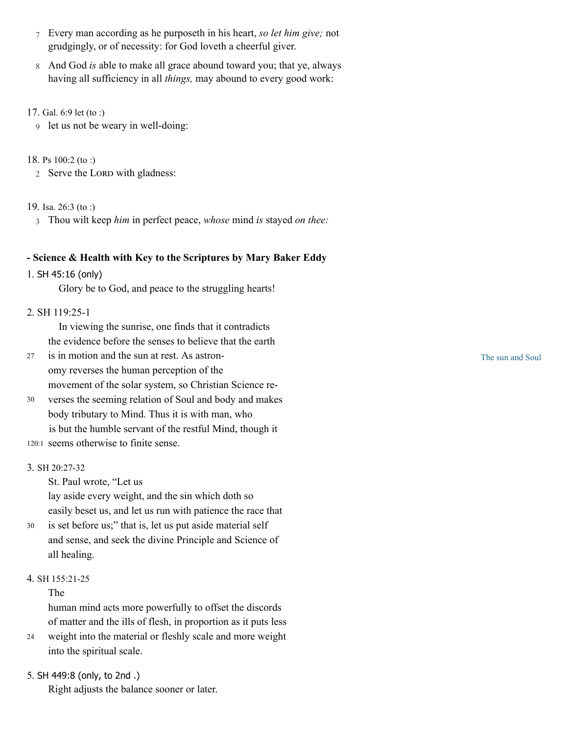- 7 Every man according as he purposeth in his heart, *so let him give;* not grudgingly, or of necessity: for God loveth a cheerful giver.
- 8 And God *is* able to make all grace abound toward you; that ye, always having all sufficiency in all *things,* may abound to every good work:
- 17. [Gal.](http://www.concordworks.com/citation/Gal.%206:9%20let%20(to%20:)) 6:9 let (to :)
	- 9 let us not be weary in well-doing:

# 18. Ps [100:2](http://www.concordworks.com/citation/Ps%20100:2%20(to%20:)) (to :)

2 Serve the LORD with gladness:

# 19. Isa. [26:3](http://www.concordworks.com/citation/Isa.%2026:3%20(to%20:)) (to :)

3 Thou wilt keep *him* in perfect peace, *whose* mind *is* stayed *on thee:*

# - Science & Health with Key to the Scriptures by Mary Baker Eddy

# 1. SH 45:16 [\(only\)](http://www.concordworks.com/citation/SH%2045:16%20(only))

Glory be to God, and peace to the struggling hearts!

# 2. [SH 119:25-1](http://www.concordworks.com/citation/SH%20119:25-1)

 In viewing the sunrise, one finds that it contradicts the evidence before the senses to believe that the earth

- is in motion and the sun at rest. As astron‐ omy reverses the human perception of the movement of the solar system, so Christian Science re‐ 27
- verses the seeming relation of Soul and body and makes body tributary to Mind. Thus it is with man, who is but the humble servant of the restful Mind, though it 30
- 120:1 seems otherwise to finite sense.

# 3. SH [20:27-32](http://www.concordworks.com/citation/SH%2020:27-32)

St. Paul wrote, "Let us

lay aside every weight, and the sin which doth so easily beset us, and let us run with patience the race that

is set before us;" that is, let us put aside material self and sense, and seek the divine Principle and Science of all healing. 30

# 4. SH [155:21-25](http://www.concordworks.com/citation/SH%20155:21-25)

# The

human mind acts more powerfully to offset the discords of matter and the ills of flesh, in proportion as it puts less

- weight into the material or fleshly scale and more weight into the spiritual scale. 24
- 5. SH [449:8](http://www.concordworks.com/citation/SH%20449:8%20(only,%20to%202nd%20.)) (only, to 2nd .)

Right adjusts the balance sooner or later.

The sun and Soul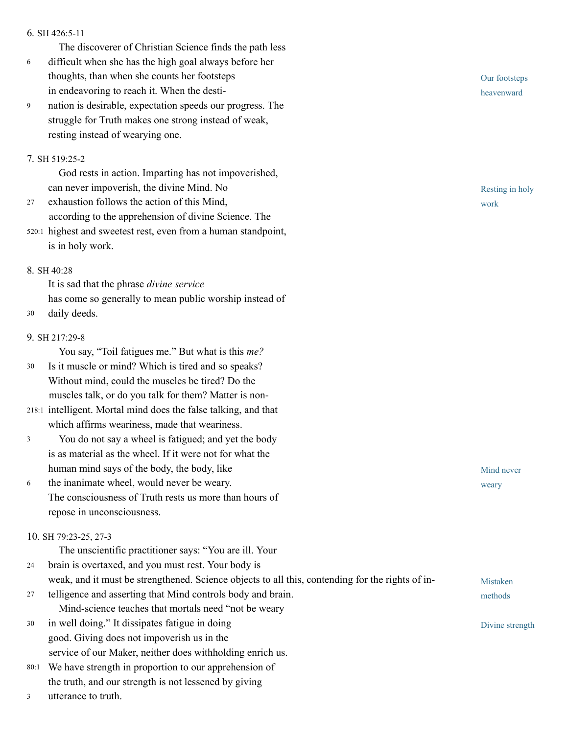#### 6. SH [426:5-11](http://www.concordworks.com/citation/SH%20426:5-11)

The discoverer of Christian Science finds the path less

- difficult when she has the high goal always before her thoughts, than when she counts her footsteps in endeavoring to reach it. When the desti‐ 6
- nation is desirable, expectation speeds our progress. The struggle for Truth makes one strong instead of weak, resting instead of wearying one. 9

### 7. SH [519:25-2](http://www.concordworks.com/citation/SH%20519:25-2)

 God rests in action. Imparting has not impoverished, can never impoverish, the divine Mind. No

- exhaustion follows the action of this Mind, according to the apprehension of divine Science. The 27
- 520:1 highest and sweetest rest, even from a human standpoint, is in holy work.

### 8. SH [40:28](http://www.concordworks.com/citation/SH%2040:28)

It is sad that the phrase *divine service* has come so generally to mean public worship instead of 30 daily deeds.

### 9. SH [217:29-8](http://www.concordworks.com/citation/SH%20217:29-8)

You say, "Toil fatigues me." But what is this *me?*

- Is it muscle or mind? Which is tired and so speaks? Without mind, could the muscles be tired? Do the muscles talk, or do you talk for them? Matter is non-30
- 218:1 intelligent. Mortal mind does the false talking, and that which affirms weariness, made that weariness.
- You do not say a wheel is fatigued; and yet the body is as material as the wheel. If it were not for what the human mind says of the body, the body, like 3
- the inanimate wheel, would never be weary. The consciousness of Truth rests us more than hours of repose in unconsciousness. 6

# 10. SH [79:23-25,](http://www.concordworks.com/citation/SH%2079:23-25,%2027-3) 27-3

The unscientific practitioner says: "You are ill. Your

brain is overtaxed, and you must rest. Your body is 24

weak, and it must be strengthened. Science objects to all this, contending for the rights of in-

- telligence and asserting that Mind controls body and brain. Mind-science teaches that mortals need "not be weary 27
- in well doing." It dissipates fatigue in doing good. Giving does not impoverish us in the service of our Maker, neither does withholding enrich us. 30
- We have strength in proportion to our apprehension of 80:1 the truth, and our strength is not lessened by giving
- utterance to truth. 3

Our footsteps heavenward

Resting in holy work

Mind never weary

Mistaken methods

Divine strength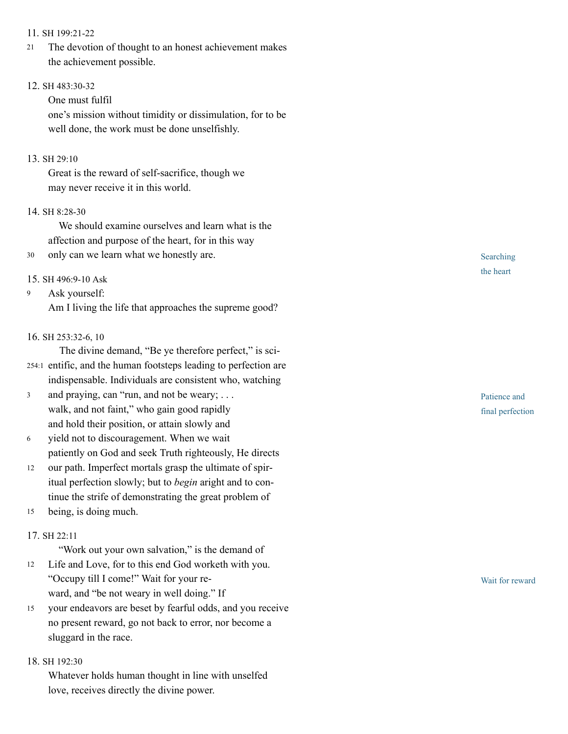#### 11. SH [199:21-22](http://www.concordworks.com/citation/SH%20199:21-22)

The devotion of thought to an honest achievement makes the achievement possible. 21

#### 12. SH [483:30-32](http://www.concordworks.com/citation/SH%20483:30-32)

One must fulfil

one's mission without timidity or dissimulation, for to be well done, the work must be done unselfishly.

#### 13. SH [29:10](http://www.concordworks.com/citation/SH%2029:10)

Great is the reward of self-sacrifice, though we may never receive it in this world.

#### 14. SH [8:28-30](http://www.concordworks.com/citation/SH%208:28-30)

 We should examine ourselves and learn what is the affection and purpose of the heart, for in this way

30 only can we learn what we honestly are.

#### 15. SH [496:9-10](http://www.concordworks.com/citation/SH%20496:9-10%20Ask) Ask

Ask yourself: 9

Am I living the life that approaches the supreme good?

#### 16. SH [253:32-6,](http://www.concordworks.com/citation/SH%20253:32-6,%2010) 10

The divine demand, "Be ye therefore perfect," is sci-

- 254:1 entific, and the human footsteps leading to perfection are indispensable. Individuals are consistent who, watching
- and praying, can "run, and not be weary; . . . walk, and not faint," who gain good rapidly and hold their position, or attain slowly and 3
- yield not to discouragement. When we wait patiently on God and seek Truth righteously, He directs 6
- our path. Imperfect mortals grasp the ultimate of spir‐ itual perfection slowly; but to *begin* aright and to con‐ tinue the strife of demonstrating the great problem of 12
- being, is doing much. 15

### 17. SH [22:11](http://www.concordworks.com/citation/SH%2022:11)

"Work out your own salvation," is the demand of

- Life and Love, for to this end God worketh with you. "Occupy till I come!" Wait for your re‐ ward, and "be not weary in well doing." If 12
- your endeavors are beset by fearful odds, and you receive no present reward, go not back to error, nor become a sluggard in the race. 15

#### 18. SH [192:30](http://www.concordworks.com/citation/SH%20192:30)

Whatever holds human thought in line with unselfed love, receives directly the divine power.

Searching the heart

Patience and final perfection

Wait for reward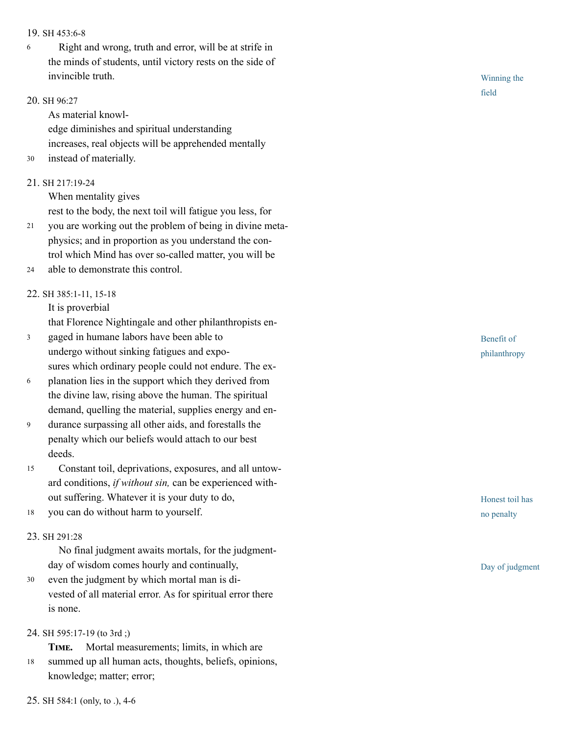#### 19. SH [453:6-8](http://www.concordworks.com/citation/SH%20453:6-8)

 Right and wrong, truth and error, will be at strife in the minds of students, until victory rests on the side of invincible truth. 6

#### 20. SH [96:27](http://www.concordworks.com/citation/SH%2096:27)

As material knowl‐

edge diminishes and spiritual understanding increases, real objects will be apprehended mentally

30 instead of materially.

# 21. SH [217:19-24](http://www.concordworks.com/citation/SH%20217:19-24)

When mentality gives

rest to the body, the next toil will fatigue you less, for

- you are working out the problem of being in divine meta‐ physics; and in proportion as you understand the con‐ trol which Mind has over so-called matter, you will be 21
- able to demonstrate this control. 24

# 22. SH [385:1-11,](http://www.concordworks.com/citation/SH%20385:1-11,%2015-18) 15-18

It is proverbial

that Florence Nightingale and other philanthropists en‐

- gaged in humane labors have been able to undergo without sinking fatigues and expo‐ sures which ordinary people could not endure. The ex-3
- planation lies in the support which they derived from the divine law, rising above the human. The spiritual demand, quelling the material, supplies energy and en‐ 6
- durance surpassing all other aids, and forestalls the penalty which our beliefs would attach to our best deeds. 9
- Constant toil, deprivations, exposures, and all untow‐ ard conditions, *if without sin,* can be experienced with‐ out suffering. Whatever it is your duty to do, 15
- you can do without harm to yourself. 18

# 23. SH [291:28](http://www.concordworks.com/citation/SH%20291:28)

 No final judgment awaits mortals, for the judgmentday of wisdom comes hourly and continually,

even the judgment by which mortal man is di‐ vested of all material error. As for spiritual error there is none. 30

#### 24. SH [595:17-19](http://www.concordworks.com/citation/SH%20595:17-19%20(to%203rd%20;)) (to 3rd ;)

TIME. Mortal measurements; limits, in which are summed up all human acts, thoughts, beliefs, opinions, knowledge; matter; error; 18

Benefit of philanthropy

Honest toil has no penalty

Day of judgment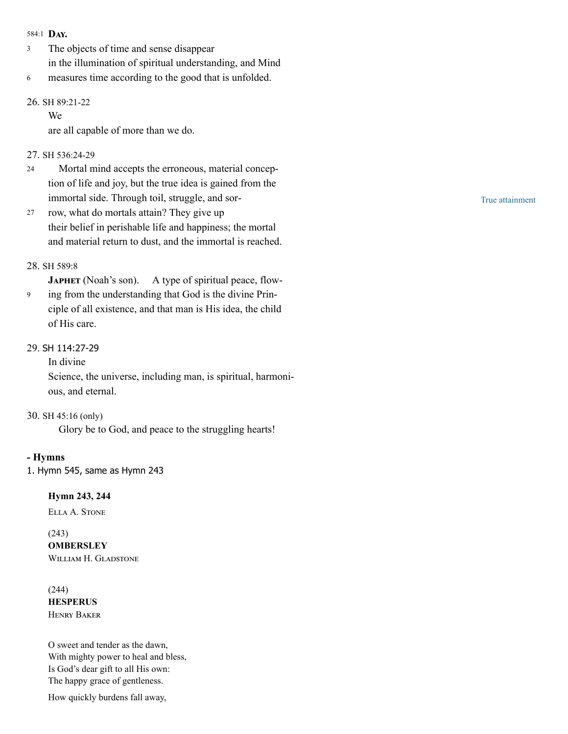#### 584:1 DAY.

- The objects of time and sense disappear in the illumination of spiritual understanding, and Mind 3
- measures time according to the good that is unfolded. 6

# 26. SH [89:21-22](http://www.concordworks.com/citation/SH%2089:21-22)

We

are all capable of more than we do.

# 27. SH [536:24-29](http://www.concordworks.com/citation/SH%20536:24-29)

- Mortal mind accepts the erroneous, material concep‐ tion of life and joy, but the true idea is gained from the immortal side. Through toil, struggle, and sor-24
- row, what do mortals attain? They give up their belief in perishable life and happiness; the mortal and material return to dust, and the immortal is reached. 27

# 28. SH [589:8](http://www.concordworks.com/citation/SH%20589:8)

JAPHET (Noah's son). A type of spiritual peace, flow-

ing from the understanding that God is the divine Prin‐ ciple of all existence, and that man is His idea, the child of His care. 9

# 29. SH [114:27-29](http://www.concordworks.com/citation/SH%20114:27-29)

In divine

Science, the universe, including man, is spiritual, harmoni‐ ous, and eternal.

# 30. SH 45:16 [\(only\)](http://www.concordworks.com/citation/SH%2045:16%20(only))

Glory be to God, and peace to the struggling hearts!

# - Hymns

1. Hymn 545, same as [Hymn](http://www.concordworks.com/citation/Hymn%20243) 243

# Hymn 243, 244

ELLA A. STONE

# (243)

**OMBERSLEY** WILLIAM H. GLADSTONE

(244) **HESPERUS HENRY BAKER** 

O sweet and tender as the dawn, With mighty power to heal and bless, Is God's dear gift to all His own: The happy grace of gentleness.

How quickly burdens fall away,

True attainment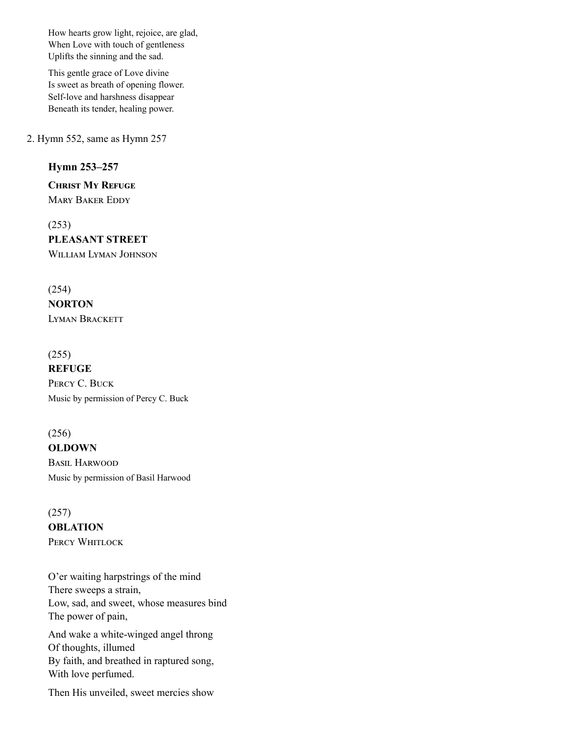How hearts grow light, rejoice, are glad, When Love with touch of gentleness Uplifts the sinning and the sad.

This gentle grace of Love divine Is sweet as breath of opening flower. Self-love and harshness disappear Beneath its tender, healing power.

2. Hymn 552, same as [Hymn 257](http://www.concordworks.com/citation/Hymn%20257)

# Hymn 253–257

**CHRIST MY REFUGE MARY BAKER EDDY** 

(253) PLEASANT STREET WILLIAM LYMAN JOHNSON

(254) **NORTON LYMAN BRACKETT** 

(255) **REFUGE** PERCY C. BUCK Music by permission of Percy C. Buck

(256) **OLDOWN BASIL HARWOOD** Music by permission of Basil Harwood

(257) **OBLATION** PERCY WHITLOCK

O'er waiting harpstrings of the mind There sweeps a strain, Low, sad, and sweet, whose measures bind The power of pain, And wake a white-winged angel throng Of thoughts, illumed By faith, and breathed in raptured song, With love perfumed.

Then His unveiled, sweet mercies show